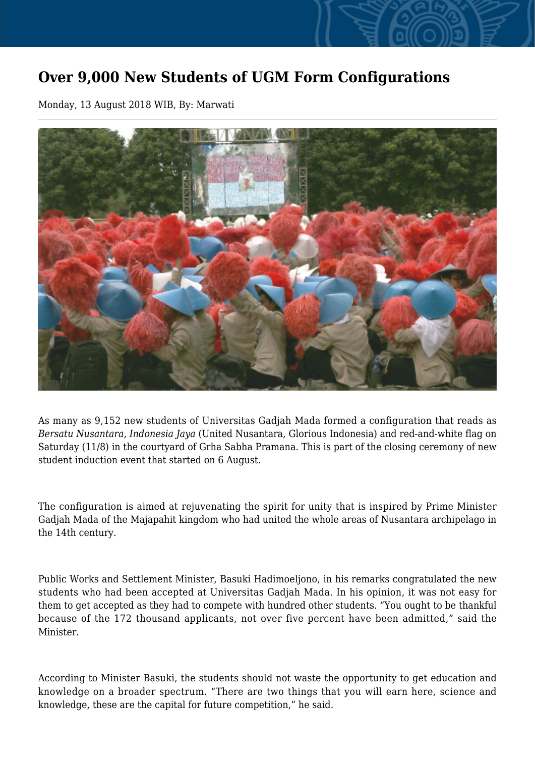## **Over 9,000 New Students of UGM Form Configurations**

Monday, 13 August 2018 WIB, By: Marwati



As many as 9,152 new students of Universitas Gadjah Mada formed a configuration that reads as *Bersatu Nusantara, Indonesia Jaya* (United Nusantara, Glorious Indonesia) and red-and-white flag on Saturday (11/8) in the courtyard of Grha Sabha Pramana. This is part of the closing ceremony of new student induction event that started on 6 August.

The configuration is aimed at rejuvenating the spirit for unity that is inspired by Prime Minister Gadjah Mada of the Majapahit kingdom who had united the whole areas of Nusantara archipelago in the 14th century.

Public Works and Settlement Minister, Basuki Hadimoeljono, in his remarks congratulated the new students who had been accepted at Universitas Gadjah Mada. In his opinion, it was not easy for them to get accepted as they had to compete with hundred other students. "You ought to be thankful because of the 172 thousand applicants, not over five percent have been admitted," said the Minister.

According to Minister Basuki, the students should not waste the opportunity to get education and knowledge on a broader spectrum. "There are two things that you will earn here, science and knowledge, these are the capital for future competition," he said.